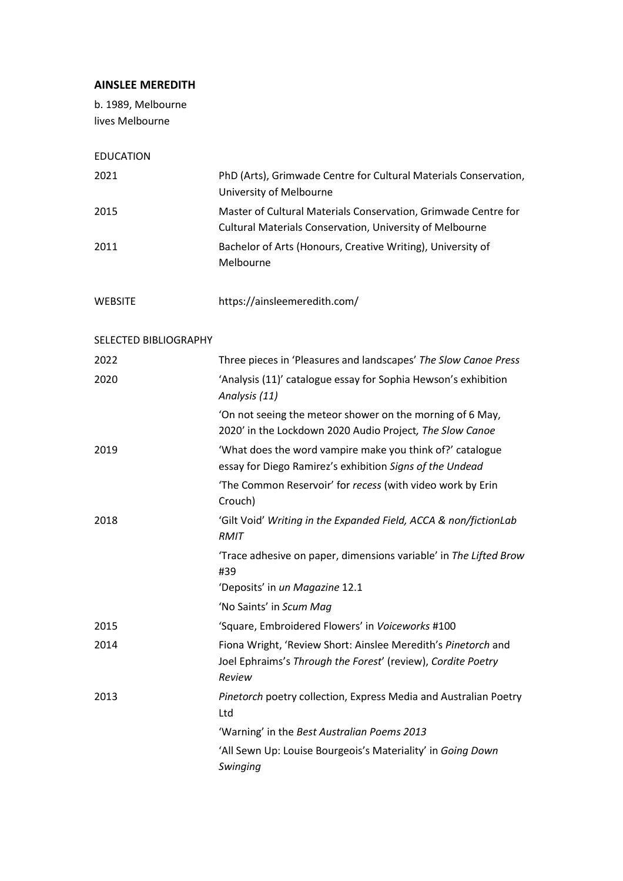## **AINSLEE MEREDITH**

b. 1989, Melbourne lives Melbourne

| <b>EDUCATION</b>      |                                                                                                                                         |
|-----------------------|-----------------------------------------------------------------------------------------------------------------------------------------|
| 2021                  | PhD (Arts), Grimwade Centre for Cultural Materials Conservation,<br>University of Melbourne                                             |
| 2015                  | Master of Cultural Materials Conservation, Grimwade Centre for<br><b>Cultural Materials Conservation, University of Melbourne</b>       |
| 2011                  | Bachelor of Arts (Honours, Creative Writing), University of<br>Melbourne                                                                |
| <b>WEBSITE</b>        | https://ainsleemeredith.com/                                                                                                            |
| SELECTED BIBLIOGRAPHY |                                                                                                                                         |
| 2022                  | Three pieces in 'Pleasures and landscapes' The Slow Canoe Press                                                                         |
| 2020                  | 'Analysis (11)' catalogue essay for Sophia Hewson's exhibition<br>Analysis (11)                                                         |
|                       | 'On not seeing the meteor shower on the morning of 6 May,<br>2020' in the Lockdown 2020 Audio Project, The Slow Canoe                   |
| 2019                  | 'What does the word vampire make you think of?' catalogue<br>essay for Diego Ramirez's exhibition Signs of the Undead                   |
|                       | 'The Common Reservoir' for recess (with video work by Erin<br>Crouch)                                                                   |
| 2018                  | 'Gilt Void' Writing in the Expanded Field, ACCA & non/fictionLab<br>RMIT                                                                |
|                       | 'Trace adhesive on paper, dimensions variable' in The Lifted Brow<br>#39                                                                |
|                       | 'Deposits' in un Magazine 12.1                                                                                                          |
|                       | 'No Saints' in Scum Mag                                                                                                                 |
| 2015                  | 'Square, Embroidered Flowers' in Voiceworks #100                                                                                        |
| 2014                  | Fiona Wright, 'Review Short: Ainslee Meredith's Pinetorch and<br>Joel Ephraims's Through the Forest' (review), Cordite Poetry<br>Review |
| 2013                  | Pinetorch poetry collection, Express Media and Australian Poetry<br>Ltd                                                                 |
|                       | 'Warning' in the Best Australian Poems 2013                                                                                             |
|                       | 'All Sewn Up: Louise Bourgeois's Materiality' in Going Down<br>Swinging                                                                 |